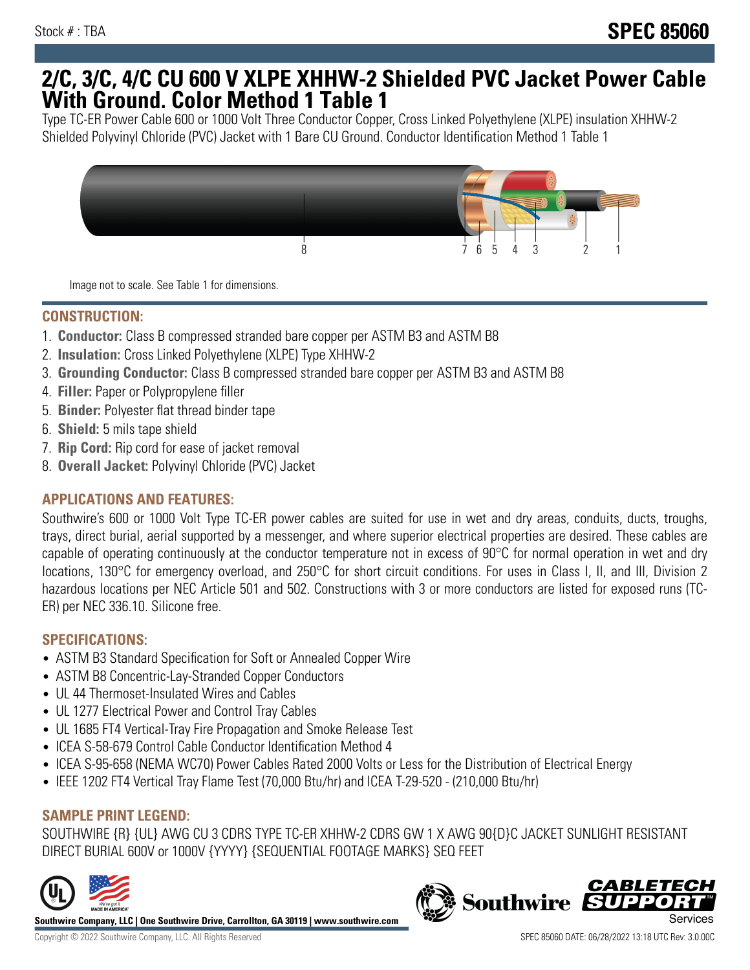## **2/C, 3/C, 4/C CU 600 V XLPE XHHW-2 Shielded PVC Jacket Power Cable With Ground. Color Method 1 Table 1**

Type TC-ER Power Cable 600 or 1000 Volt Three Conductor Copper, Cross Linked Polyethylene (XLPE) insulation XHHW-2 Shielded Polyvinyl Chloride (PVC) Jacket with 1 Bare CU Ground. Conductor Identification Method 1 Table 1



Image not to scale. See Table 1 for dimensions.

#### **CONSTRUCTION:**

- 1. **Conductor:** Class B compressed stranded bare copper per ASTM B3 and ASTM B8
- 2. **Insulation:** Cross Linked Polyethylene (XLPE) Type XHHW-2
- 3. **Grounding Conductor:** Class B compressed stranded bare copper per ASTM B3 and ASTM B8
- 4. **Filler:** Paper or Polypropylene filler
- 5. **Binder:** Polyester flat thread binder tape
- 6. **Shield:** 5 mils tape shield
- 7. **Rip Cord:** Rip cord for ease of jacket removal
- 8. **Overall Jacket:** Polyvinyl Chloride (PVC) Jacket

## **APPLICATIONS AND FEATURES:**

Southwire's 600 or 1000 Volt Type TC-ER power cables are suited for use in wet and dry areas, conduits, ducts, troughs, trays, direct burial, aerial supported by a messenger, and where superior electrical properties are desired. These cables are capable of operating continuously at the conductor temperature not in excess of 90°C for normal operation in wet and dry locations, 130°C for emergency overload, and 250°C for short circuit conditions. For uses in Class I, II, and III, Division 2 hazardous locations per NEC Article 501 and 502. Constructions with 3 or more conductors are listed for exposed runs (TC-ER) per NEC 336.10. Silicone free.

#### **SPECIFICATIONS:**

- ASTM B3 Standard Specification for Soft or Annealed Copper Wire
- ASTM B8 Concentric-Lay-Stranded Copper Conductors
- UL 44 Thermoset-Insulated Wires and Cables
- UL 1277 Electrical Power and Control Tray Cables
- UL 1685 FT4 Vertical-Tray Fire Propagation and Smoke Release Test
- ICEA S-58-679 Control Cable Conductor Identification Method 4
- ICEA S-95-658 (NEMA WC70) Power Cables Rated 2000 Volts or Less for the Distribution of Electrical Energy
- IEEE 1202 FT4 Vertical Tray Flame Test (70,000 Btu/hr) and ICEA T-29-520 (210,000 Btu/hr)

## **SAMPLE PRINT LEGEND:**

SOUTHWIRE {R} {UL} AWG CU 3 CDRS TYPE TC-ER XHHW-2 CDRS GW 1 X AWG 90{D}C JACKET SUNLIGHT RESISTANT DIRECT BURIAL 600V or 1000V {YYYY} {SEQUENTIAL FOOTAGE MARKS} SEQ FEET



**Southwire Company, LLC | One Southwire Drive, Carrollton, GA 30119 | www.southwire.com**